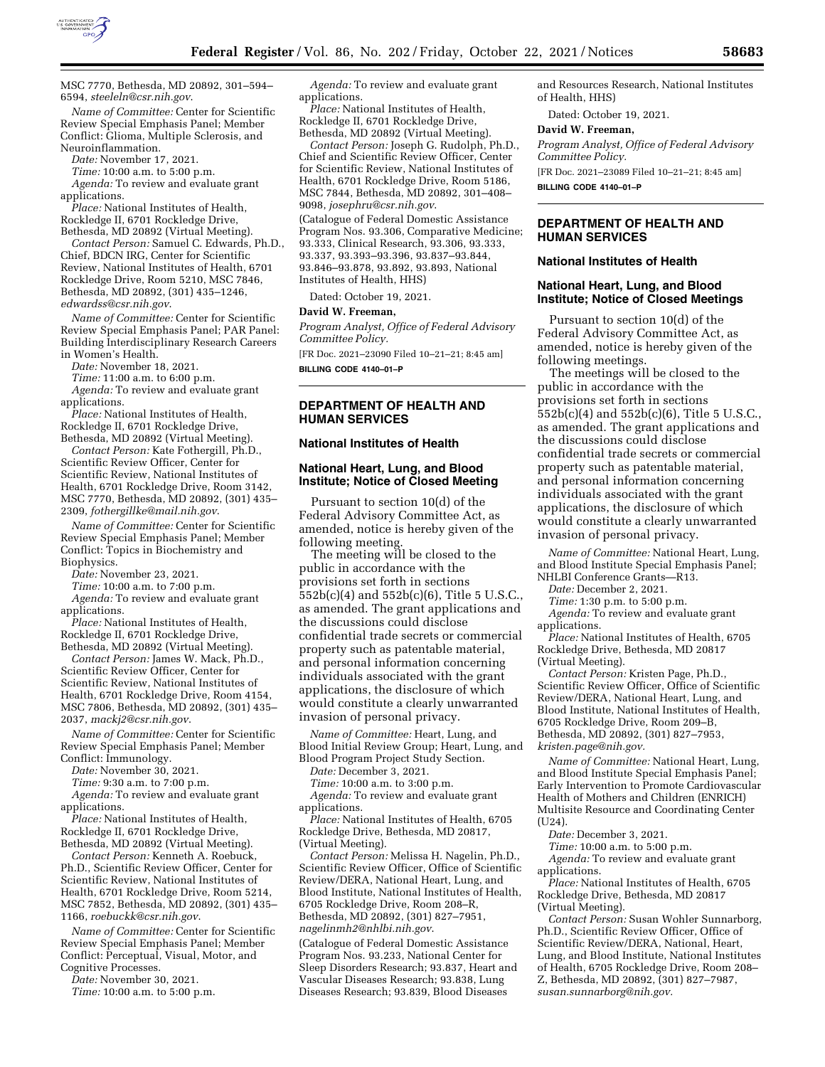

MSC 7770, Bethesda, MD 20892, 301–594– 6594, *[steeleln@csr.nih.gov](mailto:steeleln@csr.nih.gov)*.

*Name of Committee:* Center for Scientific Review Special Emphasis Panel; Member Conflict: Glioma, Multiple Sclerosis, and Neuroinflammation.

*Date:* November 17, 2021.

*Time:* 10:00 a.m. to 5:00 p.m.

*Agenda:* To review and evaluate grant applications.

*Place:* National Institutes of Health, Rockledge II, 6701 Rockledge Drive, Bethesda, MD 20892 (Virtual Meeting).

*Contact Person:* Samuel C. Edwards, Ph.D., Chief, BDCN IRG, Center for Scientific Review, National Institutes of Health, 6701 Rockledge Drive, Room 5210, MSC 7846, Bethesda, MD 20892, (301) 435–1246, *[edwardss@csr.nih.gov](mailto:edwardss@csr.nih.gov)*.

*Name of Committee:* Center for Scientific Review Special Emphasis Panel; PAR Panel: Building Interdisciplinary Research Careers in Women's Health.

*Date:* November 18, 2021.

*Time:* 11:00 a.m. to 6:00 p.m.

*Agenda:* To review and evaluate grant applications.

*Place:* National Institutes of Health, Rockledge II, 6701 Rockledge Drive, Bethesda, MD 20892 (Virtual Meeting).

*Contact Person:* Kate Fothergill, Ph.D., Scientific Review Officer, Center for Scientific Review, National Institutes of Health, 6701 Rockledge Drive, Room 3142, MSC 7770, Bethesda, MD 20892, (301) 435– 2309, *[fothergillke@mail.nih.gov](mailto:fothergillke@mail.nih.gov)*.

*Name of Committee:* Center for Scientific Review Special Emphasis Panel; Member Conflict: Topics in Biochemistry and Biophysics.

*Date:* November 23, 2021.

*Time:* 10:00 a.m. to 7:00 p.m.

*Agenda:* To review and evaluate grant applications.

*Place:* National Institutes of Health, Rockledge II, 6701 Rockledge Drive, Bethesda, MD 20892 (Virtual Meeting).

*Contact Person:* James W. Mack, Ph.D., Scientific Review Officer, Center for Scientific Review, National Institutes of Health, 6701 Rockledge Drive, Room 4154, MSC 7806, Bethesda, MD 20892, (301) 435– 2037, *[mackj2@csr.nih.gov](mailto:mackj2@csr.nih.gov)*.

*Name of Committee:* Center for Scientific Review Special Emphasis Panel; Member Conflict: Immunology.

*Date:* November 30, 2021.

*Time:* 9:30 a.m. to 7:00 p.m.

*Agenda:* To review and evaluate grant applications.

*Place:* National Institutes of Health, Rockledge II, 6701 Rockledge Drive, Bethesda, MD 20892 (Virtual Meeting).

*Contact Person:* Kenneth A. Roebuck, Ph.D., Scientific Review Officer, Center for Scientific Review, National Institutes of Health, 6701 Rockledge Drive, Room 5214, MSC 7852, Bethesda, MD 20892, (301) 435– 1166, *[roebuckk@csr.nih.gov](mailto:roebuckk@csr.nih.gov)*.

*Name of Committee:* Center for Scientific Review Special Emphasis Panel; Member Conflict: Perceptual, Visual, Motor, and Cognitive Processes.

*Date:* November 30, 2021.

*Time:* 10:00 a.m. to 5:00 p.m.

*Agenda:* To review and evaluate grant applications.

*Place:* National Institutes of Health, Rockledge II, 6701 Rockledge Drive, Bethesda, MD 20892 (Virtual Meeting).

*Contact Person:* Joseph G. Rudolph, Ph.D., Chief and Scientific Review Officer, Center for Scientific Review, National Institutes of Health, 6701 Rockledge Drive, Room 5186, MSC 7844, Bethesda, MD 20892, 301–408– 9098, *[josephru@csr.nih.gov](mailto:josephru@csr.nih.gov)*.

(Catalogue of Federal Domestic Assistance Program Nos. 93.306, Comparative Medicine; 93.333, Clinical Research, 93.306, 93.333, 93.337, 93.393–93.396, 93.837–93.844, 93.846–93.878, 93.892, 93.893, National Institutes of Health, HHS)

Dated: October 19, 2021.

#### **David W. Freeman,**

*Program Analyst, Office of Federal Advisory Committee Policy.* 

[FR Doc. 2021–23090 Filed 10–21–21; 8:45 am] **BILLING CODE 4140–01–P** 

# **DEPARTMENT OF HEALTH AND HUMAN SERVICES**

## **National Institutes of Health**

# **National Heart, Lung, and Blood Institute; Notice of Closed Meeting**

Pursuant to section 10(d) of the Federal Advisory Committee Act, as amended, notice is hereby given of the following meeting.

The meeting will be closed to the public in accordance with the provisions set forth in sections 552b(c)(4) and 552b(c)(6), Title 5 U.S.C., as amended. The grant applications and the discussions could disclose confidential trade secrets or commercial property such as patentable material, and personal information concerning individuals associated with the grant applications, the disclosure of which would constitute a clearly unwarranted invasion of personal privacy.

*Name of Committee:* Heart, Lung, and Blood Initial Review Group; Heart, Lung, and Blood Program Project Study Section.

*Date:* December 3, 2021.

*Time:* 10:00 a.m. to 3:00 p.m. *Agenda:* To review and evaluate grant

applications.

*Place:* National Institutes of Health, 6705 Rockledge Drive, Bethesda, MD 20817, (Virtual Meeting).

*Contact Person:* Melissa H. Nagelin, Ph.D., Scientific Review Officer, Office of Scientific Review/DERA, National Heart, Lung, and Blood Institute, National Institutes of Health, 6705 Rockledge Drive, Room 208–R, Bethesda, MD 20892, (301) 827–7951, *[nagelinmh2@nhlbi.nih.gov](mailto:nagelinmh2@nhlbi.nih.gov)*.

(Catalogue of Federal Domestic Assistance Program Nos. 93.233, National Center for Sleep Disorders Research; 93.837, Heart and Vascular Diseases Research; 93.838, Lung Diseases Research; 93.839, Blood Diseases

and Resources Research, National Institutes of Health, HHS)

Dated: October 19, 2021.

#### **David W. Freeman,**

*Program Analyst, Office of Federal Advisory Committee Policy.*  [FR Doc. 2021–23089 Filed 10–21–21; 8:45 am]

**BILLING CODE 4140–01–P** 

## **DEPARTMENT OF HEALTH AND HUMAN SERVICES**

### **National Institutes of Health**

#### **National Heart, Lung, and Blood Institute; Notice of Closed Meetings**

Pursuant to section 10(d) of the Federal Advisory Committee Act, as amended, notice is hereby given of the following meetings.

The meetings will be closed to the public in accordance with the provisions set forth in sections 552b(c)(4) and 552b(c)(6), Title 5 U.S.C., as amended. The grant applications and the discussions could disclose confidential trade secrets or commercial property such as patentable material, and personal information concerning individuals associated with the grant applications, the disclosure of which would constitute a clearly unwarranted invasion of personal privacy.

*Name of Committee:* National Heart, Lung, and Blood Institute Special Emphasis Panel; NHLBI Conference Grants—R13.

*Date:* December 2, 2021.

*Time:* 1:30 p.m. to 5:00 p.m.

*Agenda:* To review and evaluate grant applications.

*Place:* National Institutes of Health, 6705 Rockledge Drive, Bethesda, MD 20817 (Virtual Meeting).

*Contact Person:* Kristen Page, Ph.D., Scientific Review Officer, Office of Scientific Review/DERA, National Heart, Lung, and Blood Institute, National Institutes of Health, 6705 Rockledge Drive, Room 209–B, Bethesda, MD 20892, (301) 827–7953, *[kristen.page@nih.gov.](mailto:kristen.page@nih.gov)* 

*Name of Committee:* National Heart, Lung, and Blood Institute Special Emphasis Panel; Early Intervention to Promote Cardiovascular Health of Mothers and Children (ENRICH) Multisite Resource and Coordinating Center (U24).

*Date:* December 3, 2021.

*Time:* 10:00 a.m. to 5:00 p.m. *Agenda:* To review and evaluate grant

applications.

*Place:* National Institutes of Health, 6705 Rockledge Drive, Bethesda, MD 20817 (Virtual Meeting).

*Contact Person:* Susan Wohler Sunnarborg, Ph.D., Scientific Review Officer, Office of Scientific Review/DERA, National, Heart, Lung, and Blood Institute, National Institutes of Health, 6705 Rockledge Drive, Room 208– Z, Bethesda, MD 20892, (301) 827–7987, *[susan.sunnarborg@nih.gov.](mailto:susan.sunnarborg@nih.gov)*